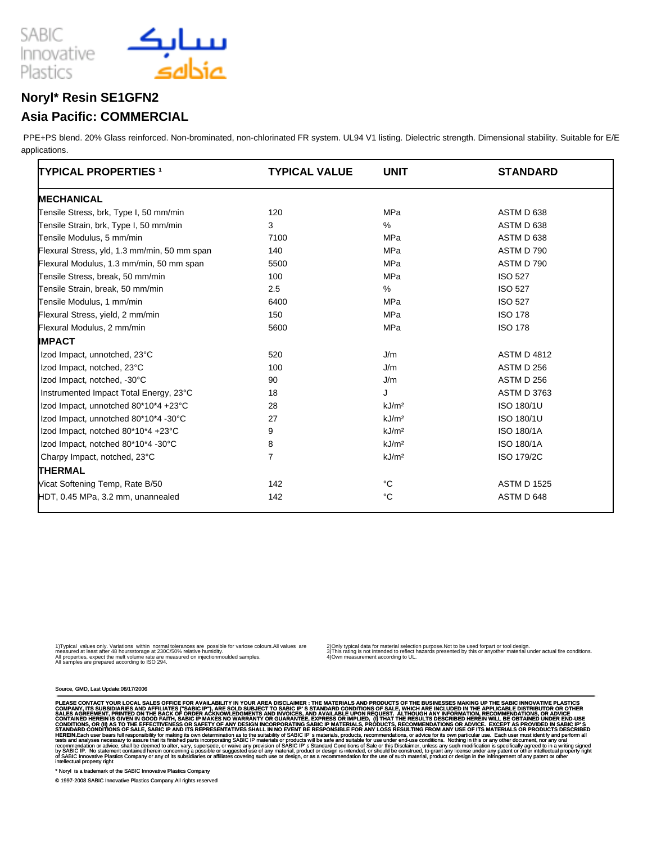

### **Noryl\* Resin SE1GFN2**

### **Asia Pacific: COMMERCIAL**

 PPE+PS blend. 20% Glass reinforced. Non-brominated, non-chlorinated FR system. UL94 V1 listing. Dielectric strength. Dimensional stability. Suitable for E/E applications.

| <b>TYPICAL PROPERTIES 1</b>                  | <b>TYPICAL VALUE</b> | <b>UNIT</b>       | <b>STANDARD</b>    |
|----------------------------------------------|----------------------|-------------------|--------------------|
| <b>MECHANICAL</b>                            |                      |                   |                    |
| Tensile Stress, brk, Type I, 50 mm/min       | 120                  | MPa               | ASTM D 638         |
| Tensile Strain, brk, Type I, 50 mm/min       | 3                    | $\%$              | ASTM D 638         |
| Tensile Modulus, 5 mm/min                    | 7100                 | MPa               | ASTM D 638         |
| Flexural Stress, yld, 1.3 mm/min, 50 mm span | 140                  | MPa               | ASTM D 790         |
| Flexural Modulus, 1.3 mm/min, 50 mm span     | 5500                 | MPa               | ASTM D 790         |
| Tensile Stress, break, 50 mm/min             | 100                  | <b>MPa</b>        | <b>ISO 527</b>     |
| Tensile Strain, break, 50 mm/min             | 2.5                  | %                 | <b>ISO 527</b>     |
| Tensile Modulus, 1 mm/min                    | 6400                 | MPa               | <b>ISO 527</b>     |
| Flexural Stress, yield, 2 mm/min             | 150                  | MPa               | <b>ISO 178</b>     |
| Flexural Modulus, 2 mm/min                   | 5600                 | <b>MPa</b>        | <b>ISO 178</b>     |
| <b>IMPACT</b>                                |                      |                   |                    |
| Izod Impact, unnotched, 23°C                 | 520                  | J/m               | <b>ASTM D 4812</b> |
| Izod Impact, notched, 23°C                   | 100                  | J/m               | <b>ASTM D 256</b>  |
| Izod Impact, notched, -30°C                  | 90                   | J/m               | ASTM D 256         |
| Instrumented Impact Total Energy, 23°C       | 18                   | J                 | <b>ASTM D 3763</b> |
| Izod Impact, unnotched 80*10*4 +23°C         | 28                   | kJ/m <sup>2</sup> | ISO 180/1U         |
| Izod Impact, unnotched 80*10*4 -30°C         | 27                   | kJ/m <sup>2</sup> | ISO 180/1U         |
| Izod Impact, notched 80*10*4 +23°C           | 9                    | kJ/m <sup>2</sup> | <b>ISO 180/1A</b>  |
| Izod Impact, notched 80*10*4 -30°C           | 8                    | kJ/m <sup>2</sup> | <b>ISO 180/1A</b>  |
| Charpy Impact, notched, 23°C                 | $\overline{7}$       | kJ/m <sup>2</sup> | ISO 179/2C         |
| <b>THERMAL</b>                               |                      |                   |                    |
| Vicat Softening Temp, Rate B/50              | 142                  | °C                | <b>ASTM D 1525</b> |
| HDT, 0.45 MPa, 3.2 mm, unannealed            | 142                  | °C                | ASTM D 648         |

1) Typical values only. Variations within normal tolerances are possible for variose colours.All values are<br>measured at least after 48 hours storage at 230C/50% relative humidity.<br>All samples are prepared according to ISO

2) Only typical data for material selection purpose.Not to be used for part or tool design.<br>3) This rating is not intended to reflect hazards presented by this or any other material under actual fire conditions.<br>4) Own me

Source, GMD, Last Update:08/17/2006

PLEASE CONTACT YOUR LOCAL SALES OFFICE FOR AVAILABILITY IN YOUR AREA DISCLAIMER : THE MATERIALS SAND PRODUCTS OF THE BUSINESSES OR MAYING UP THE APPLICABLE DISTRIBUTOR OR OTHER ACCULDED IN A PERIOD OR DITELE AND AFFILIATES

\* Noryl is a trademark of the SABIC Innovative Plastics Company

© 1997-2008 SABIC Innovative Plastics Company.All rights reserved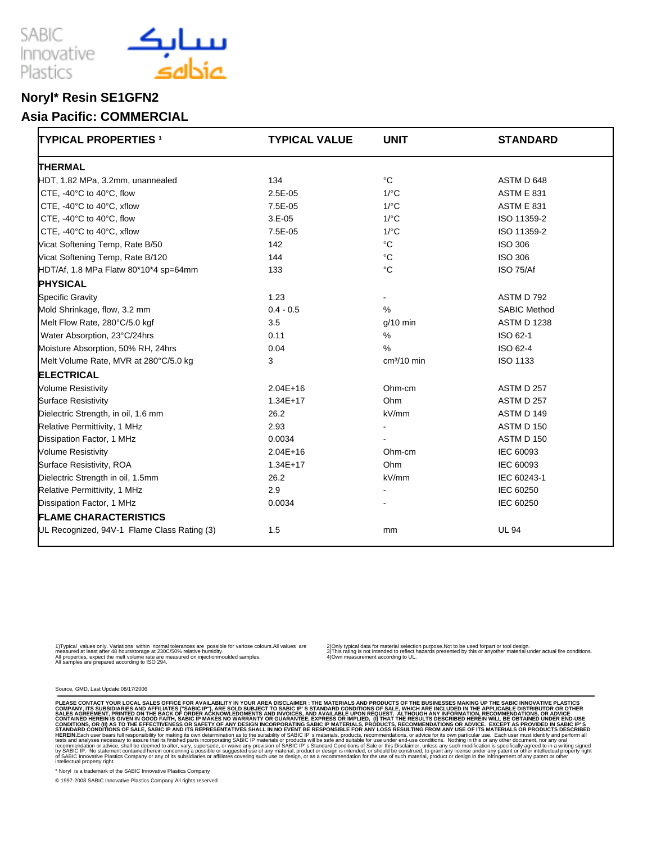



## **Noryl\* Resin SE1GFN2**

#### **Asia Pacific: COMMERCIAL**

| <b>TYPICAL PROPERTIES 1</b>                 | <b>TYPICAL VALUE</b> | <b>UNIT</b>          | <b>STANDARD</b>     |
|---------------------------------------------|----------------------|----------------------|---------------------|
| <b>THERMAL</b>                              |                      |                      |                     |
| HDT, 1.82 MPa, 3.2mm, unannealed            | 134                  | $^{\circ}$ C         | ASTM D 648          |
| CTE, -40°C to 40°C, flow                    | $2.5E-05$            | $1$ <sup>o</sup> $C$ | <b>ASTM E 831</b>   |
| CTE, -40°C to 40°C, xflow                   | 7.5E-05              | $1$ <sup>o</sup> C   | <b>ASTM E 831</b>   |
| CTE, -40°C to 40°C, flow                    | $3.E-05$             | $1$ /°C              | ISO 11359-2         |
| CTE, -40°C to 40°C, xflow                   | 7.5E-05              | $1$ /°C              | ISO 11359-2         |
| Vicat Softening Temp, Rate B/50             | 142                  | $^{\circ}$ C         | <b>ISO 306</b>      |
| Vicat Softening Temp, Rate B/120            | 144                  | °C                   | <b>ISO 306</b>      |
| HDT/Af, 1.8 MPa Flatw 80*10*4 sp=64mm       | 133                  | $^{\circ}C$          | ISO 75/Af           |
| <b>PHYSICAL</b>                             |                      |                      |                     |
| <b>Specific Gravity</b>                     | 1.23                 | $\blacksquare$       | ASTM D 792          |
| Mold Shrinkage, flow, 3.2 mm                | $0.4 - 0.5$          | $\%$                 | <b>SABIC Method</b> |
| Melt Flow Rate, 280°C/5.0 kgf               | 3.5                  | g/10 min             | <b>ASTM D 1238</b>  |
| Water Absorption, 23°C/24hrs                | 0.11                 | %                    | ISO 62-1            |
| Moisture Absorption, 50% RH, 24hrs          | 0.04                 | $\frac{9}{6}$        | ISO 62-4            |
| Melt Volume Rate, MVR at 280°C/5.0 kg       | 3                    | $cm3/10$ min         | ISO 1133            |
| <b>ELECTRICAL</b>                           |                      |                      |                     |
| <b>Volume Resistivity</b>                   | $2.04E+16$           | Ohm-cm               | ASTM D 257          |
| <b>Surface Resistivity</b>                  | $1.34E + 17$         | Ohm                  | <b>ASTM D 257</b>   |
| Dielectric Strength, in oil, 1.6 mm         | 26.2                 | kV/mm                | ASTM D 149          |
| Relative Permittivity, 1 MHz                | 2.93                 |                      | ASTM D 150          |
| Dissipation Factor, 1 MHz                   | 0.0034               |                      | <b>ASTM D 150</b>   |
| <b>Volume Resistivity</b>                   | $2.04E+16$           | Ohm-cm               | IEC 60093           |
| Surface Resistivity, ROA                    | $1.34E+17$           | Ohm                  | IEC 60093           |
| Dielectric Strength in oil, 1.5mm           | 26.2                 | kV/mm                | IEC 60243-1         |
| Relative Permittivity, 1 MHz                | 2.9                  | $\blacksquare$       | IEC 60250           |
| Dissipation Factor, 1 MHz                   | 0.0034               |                      | IEC 60250           |
| <b>FLAME CHARACTERISTICS</b>                |                      |                      |                     |
| UL Recognized, 94V-1 Flame Class Rating (3) | 1.5                  | <sub>mm</sub>        | <b>UL 94</b>        |

1) Typical values only. Variations within normal tolerances are possible for variose colours.All values are<br>measured at least after 48 hours storage at 230C/50% relative humidity.<br>All samples are prepared according to ISO

2) Only typical data for material selection purpose.Not to be used for part or tool design.<br>3) This rating is not intended to reflect hazards presented by this or any other material under actual fire conditions.<br>4) Own me

Source, GMD, Last Update:08/17/2006

PLEASE CONTACT YOUR LOCAL SALES OFFICE FOR AVAILABILITY IN YOUR AREA DISCLAIMER : THE MATERIALS SONTOUTS OF THE BUSINESSES OR WHICH ARE INCLUDED IN THE APPLICABLE DISTRIBUTOR OR OTHER CONDITIONS OF SALES. WHICH ARE INCLUDE

\* Noryl is a trademark of the SABIC Innovative Plastics Company

© 1997-2008 SABIC Innovative Plastics Company.All rights reserved